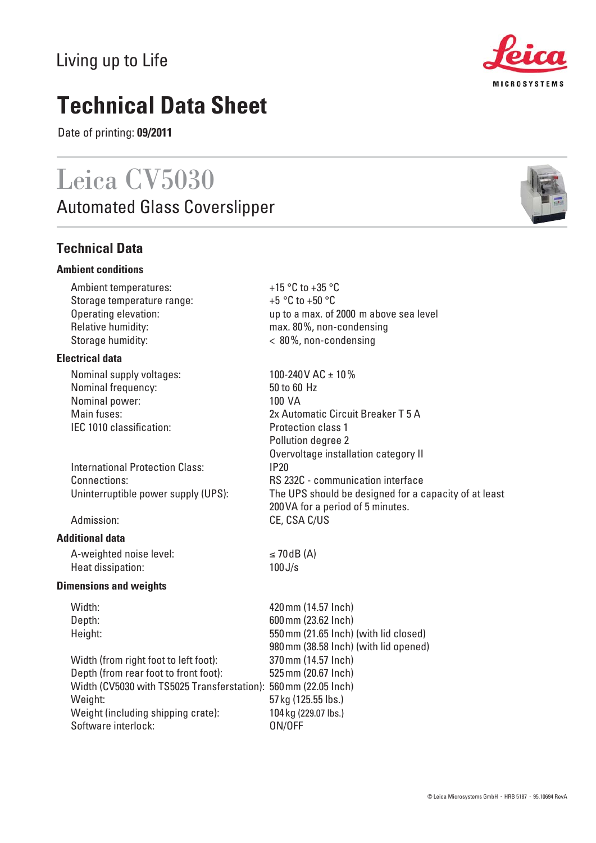# Living up to Life

# **Technical Data Sheet**

Date of printing: **09/2011**

# Leica CV5030

**Automated Glass Coverslipper** 

## **Technical Data**

## **Ambient conditions**

Ambient temperatures:  $+15 \degree C$  to  $+35 \degree C$  Storage temperature range: +5 °C to +50 °C Relative humidity: max. 80%, non-condensing Storage humidity:  $\langle 80\% , \text{non-condensing} \rangle$ 

## **Electrical data**

Nominal supply voltages:  $100-240V$  AC  $\pm 10\%$ Nominal frequency: 50 to 60 Hz Nominal power: 100 VA IEC 1010 classification: Protection class 1

International Protection Class: IP20

## **Additional data**

A-weighted noise level:  $\leq 70 \text{ dB (A)}$ Heat dissipation: 100J/s

#### **Dimensions and weights**

Width: 420mm (14.57 Inch) Depth: 600mm (23.62 Inch) Height: 550mm (21.65 Inch) (with lid closed)

 Width (from right foot to left foot): 370mm (14.57 Inch) Depth (from rear foot to front foot): 525mm (20.67 Inch) Width (CV5030 with TS5025 Transferstation): 560mm (22.05 Inch) Weight: 57kg (125.55 lbs.) Weight (including shipping crate): 104 kg (229.07 lbs.) Software interlock: 0N/OFF

Operating elevation: up to a max. of 2000 m above sea level

980mm (38.58 Inch) (with lid opened)

 Main fuses: 2x Automatic Circuit Breaker T 5 A Pollution degree 2 Overvoltage installation category II Connections: RS 232C - communication interface Uninterruptible power supply (UPS): The UPS should be designed for a capacity of at least 200VA for a period of 5 minutes. Admission: CE, CSA C/US



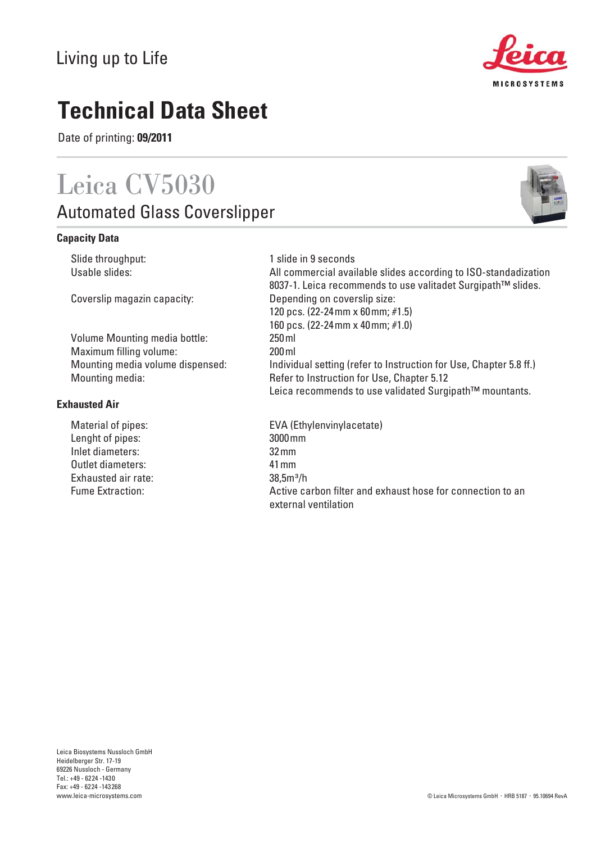69226 Nussloch - Germany Tel.: +49 - 6224 -1430 Fax: +49 - 6224 -143268 www.leica-microsystems.com

# Living up to Life

# **Technical Data Sheet**

Date of printing: **09/2011**

# Leica CV5030

Automated Glass Coverslipper

## **Capacity Data**

Slide throughput: 1 slide in 9 seconds

 Volume Mounting media bottle: 250ml Maximum filling volume: 200ml

## **Exhausted Air**

 Lenght of pipes: 3000mm Inlet diameters: 32mm Outlet diameters: 41mm Exhausted air rate: 38,5m³/h

Usable slides: Material available slides according to ISO-standadization 8037-1. Leica recommends to use valitadet Surgipath™ slides. Coverslip magazin capacity: Depending on coverslip size: 120 pcs. (22-24mm x 60mm; #1.5) 160 pcs. (22-24mm x 40mm; #1.0) Mounting media volume dispensed: Individual setting (refer to Instruction for Use, Chapter 5.8 ff.) Mounting media: Refer to Instruction for Use, Chapter 5.12 Leica recommends to use validated Surgipath™ mountants.

Material of pipes: EVA (Ethylenvinylacetate) Fume Extraction: Active carbon filter and exhaust hose for connection to an external ventilation